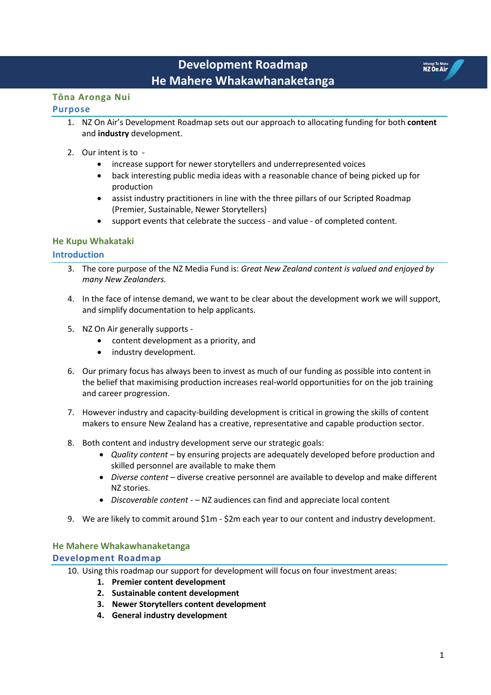# **Development Roadmap He Mahere Whakawhanaketanga**

### **Tōna Aronga Nui Purpose**

### 1. NZ On Air's Development Roadmap sets out our approach to allocating funding for both **content** and **industry** development.

- 2. Our intent is to
	- increase support for newer storytellers and underrepresented voices
	- back interesting public media ideas with a reasonable chance of being picked up for production
	- assist industry practitioners in line with the three pillars of our Scripted Roadmap (Premier, Sustainable, Newer Storytellers)
	- support events that celebrate the success and value of completed content.

## **He Kupu Whakataki**

## **Introduction**

- 3. The core purpose of the NZ Media Fund is: *Great New Zealand content is valued and enjoyed by many New Zealanders.*
- 4. In the face of intense demand, we want to be clear about the development work we will support, and simplify documentation to help applicants.
- 5. NZ On Air generally supports
	- content development as a priority, and
	- industry development.
- 6. Our primary focus has always been to invest as much of our funding as possible into content in the belief that maximising production increases real-world opportunities for on the job training and career progression.
- 7. However industry and capacity-building development is critical in growing the skills of content makers to ensure New Zealand has a creative, representative and capable production sector.
- 8. Both content and industry development serve our strategic goals:
	- *Quality content* by ensuring projects are adequately developed before production and skilled personnel are available to make them
	- *Diverse content* diverse creative personnel are available to develop and make different NZ stories.
	- *Discoverable content*  – NZ audiences can find and appreciate local content
- 9. We are likely to commit around \$1m \$2m each year to our content and industry development.

## **He Mahere Whakawhanaketanga Development Roadmap**

- 10. Using this roadmap our support for development will focus on four investment areas:
	- **1. Premier content development**
	- **2. Sustainable content development**
	- **3. Newer Storytellers content development**
	- **4. General industry development**

Irirangi Te Motu<br>NZ On Air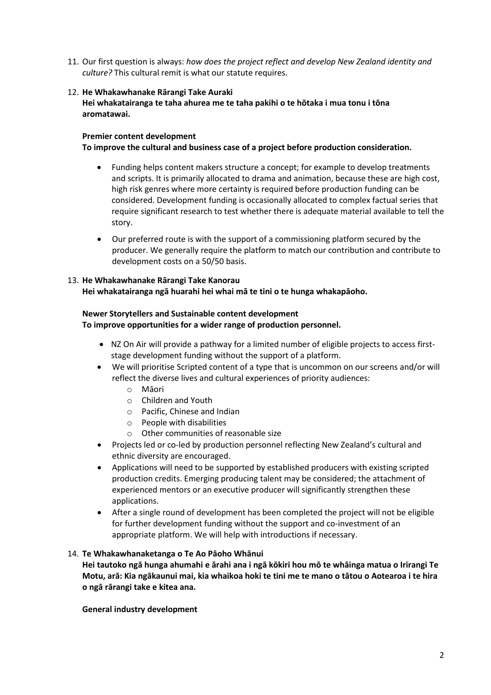11. Our first question is always: *how does the project reflect and develop New Zealand identity and culture?* This cultural remit is what our statute requires.

### 12. **He Whakawhanake Rārangi Take Auraki**

**Hei whakatairanga te taha ahurea me te taha pakihi o te hōtaka i mua tonu i tōna aromatawai.**

## **Premier content development**

**To improve the cultural and business case of a project before production consideration.**

- Funding helps content makers structure a concept; for example to develop treatments and scripts. It is primarily allocated to drama and animation, because these are high cost, high risk genres where more certainty is required before production funding can be considered. Development funding is occasionally allocated to complex factual series that require significant research to test whether there is adequate material available to tell the story.
- Our preferred route is with the support of a commissioning platform secured by the producer. We generally require the platform to match our contribution and contribute to development costs on a 50/50 basis.

### 13. **He Whakawhanake Rārangi Take Kanorau**

**Hei whakatairanga ngā huarahi hei whai mā te tini o te hunga whakapāoho.**

## **Newer Storytellers and Sustainable content development**

**To improve opportunities for a wider range of production personnel.**

- NZ On Air will provide a pathway for a limited number of eligible projects to access firststage development funding without the support of a platform.
- We will prioritise Scripted content of a type that is uncommon on our screens and/or will reflect the diverse lives and cultural experiences of priority audiences:
	- o Māori
	- o Children and Youth
	- o Pacific, Chinese and Indian
	- o People with disabilities
	- o Other communities of reasonable size
- Projects led or co-led by production personnel reflecting New Zealand's cultural and ethnic diversity are encouraged.
- Applications will need to be supported by established producers with existing scripted production credits. Emerging producing talent may be considered; the attachment of experienced mentors or an executive producer will significantly strengthen these applications.
- After a single round of development has been completed the project will not be eligible for further development funding without the support and co-investment of an appropriate platform. We will help with introductions if necessary.

### 14. **Te Whakawhanaketanga o Te Ao Pāoho Whānui**

**Hei tautoko ngā hunga ahumahi e ārahi ana i ngā kōkiri hou mō te whāinga matua o Irirangi Te Motu, arā: Kia ngākaunui mai, kia whaikoa hoki te tini me te mano o tātou o Aotearoa i te hira o ngā rārangi take e kitea ana.**

**General industry development**